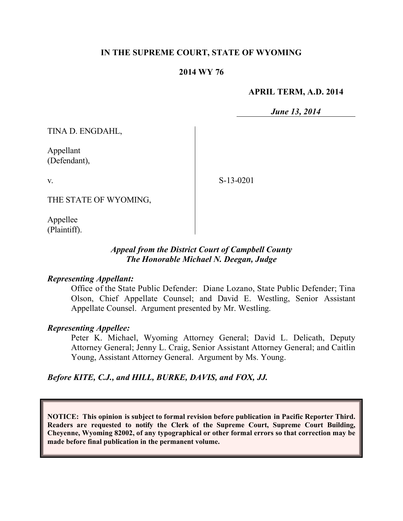## **IN THE SUPREME COURT, STATE OF WYOMING**

### **2014 WY 76**

### **APRIL TERM, A.D. 2014**

*June 13, 2014*

TINA D. ENGDAHL,

Appellant (Defendant),

v.

S-13-0201

THE STATE OF WYOMING,

Appellee (Plaintiff).

## *Appeal from the District Court of Campbell County The Honorable Michael N. Deegan, Judge*

### *Representing Appellant:*

Office of the State Public Defender: Diane Lozano, State Public Defender; Tina Olson, Chief Appellate Counsel; and David E. Westling, Senior Assistant Appellate Counsel. Argument presented by Mr. Westling.

#### *Representing Appellee:*

Peter K. Michael, Wyoming Attorney General; David L. Delicath, Deputy Attorney General; Jenny L. Craig, Senior Assistant Attorney General; and Caitlin Young, Assistant Attorney General. Argument by Ms. Young.

### *Before KITE, C.J., and HILL, BURKE, DAVIS, and FOX, JJ.*

**NOTICE: This opinion is subject to formal revision before publication in Pacific Reporter Third. Readers are requested to notify the Clerk of the Supreme Court, Supreme Court Building, Cheyenne, Wyoming 82002, of any typographical or other formal errors so that correction may be made before final publication in the permanent volume.**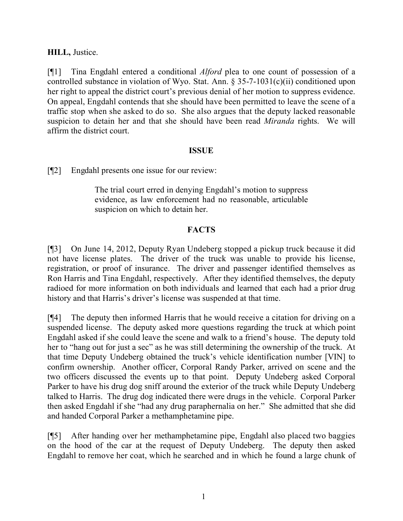# **HILL,** Justice.

[¶1] Tina Engdahl entered a conditional *Alford* plea to one count of possession of a controlled substance in violation of Wyo. Stat. Ann. § 35-7-1031(c)(ii) conditioned upon her right to appeal the district court's previous denial of her motion to suppress evidence. On appeal, Engdahl contends that she should have been permitted to leave the scene of a traffic stop when she asked to do so. She also argues that the deputy lacked reasonable suspicion to detain her and that she should have been read *Miranda* rights. We will affirm the district court.

### **ISSUE**

[¶2] Engdahl presents one issue for our review:

The trial court erred in denying Engdahl's motion to suppress evidence, as law enforcement had no reasonable, articulable suspicion on which to detain her.

# **FACTS**

[¶3] On June 14, 2012, Deputy Ryan Undeberg stopped a pickup truck because it did not have license plates. The driver of the truck was unable to provide his license, registration, or proof of insurance. The driver and passenger identified themselves as Ron Harris and Tina Engdahl, respectively. After they identified themselves, the deputy radioed for more information on both individuals and learned that each had a prior drug history and that Harris's driver's license was suspended at that time.

[¶4] The deputy then informed Harris that he would receive a citation for driving on a suspended license. The deputy asked more questions regarding the truck at which point Engdahl asked if she could leave the scene and walk to a friend's house. The deputy told her to "hang out for just a sec" as he was still determining the ownership of the truck. At that time Deputy Undeberg obtained the truck's vehicle identification number [VIN] to confirm ownership. Another officer, Corporal Randy Parker, arrived on scene and the two officers discussed the events up to that point. Deputy Undeberg asked Corporal Parker to have his drug dog sniff around the exterior of the truck while Deputy Undeberg talked to Harris. The drug dog indicated there were drugs in the vehicle. Corporal Parker then asked Engdahl if she "had any drug paraphernalia on her." She admitted that she did and handed Corporal Parker a methamphetamine pipe.

[¶5] After handing over her methamphetamine pipe, Engdahl also placed two baggies on the hood of the car at the request of Deputy Undeberg. The deputy then asked Engdahl to remove her coat, which he searched and in which he found a large chunk of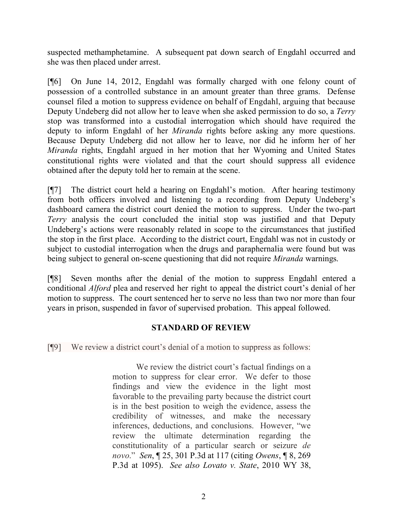suspected methamphetamine. A subsequent pat down search of Engdahl occurred and she was then placed under arrest.

[¶6] On June 14, 2012, Engdahl was formally charged with one felony count of possession of a controlled substance in an amount greater than three grams. Defense counsel filed a motion to suppress evidence on behalf of Engdahl, arguing that because Deputy Undeberg did not allow her to leave when she asked permission to do so, a *Terry*  stop was transformed into a custodial interrogation which should have required the deputy to inform Engdahl of her *Miranda* rights before asking any more questions. Because Deputy Undeberg did not allow her to leave, nor did he inform her of her *Miranda* rights, Engdahl argued in her motion that her Wyoming and United States constitutional rights were violated and that the court should suppress all evidence obtained after the deputy told her to remain at the scene.

[¶7] The district court held a hearing on Engdahl's motion. After hearing testimony from both officers involved and listening to a recording from Deputy Undeberg's dashboard camera the district court denied the motion to suppress. Under the two-part *Terry* analysis the court concluded the initial stop was justified and that Deputy Undeberg's actions were reasonably related in scope to the circumstances that justified the stop in the first place. According to the district court, Engdahl was not in custody or subject to custodial interrogation when the drugs and paraphernalia were found but was being subject to general on-scene questioning that did not require *Miranda* warnings.

[¶8] Seven months after the denial of the motion to suppress Engdahl entered a conditional *Alford* plea and reserved her right to appeal the district court's denial of her motion to suppress. The court sentenced her to serve no less than two nor more than four years in prison, suspended in favor of supervised probation. This appeal followed.

# **STANDARD OF REVIEW**

[¶9] We review a district court's denial of a motion to suppress as follows:

We review the district court's factual findings on a motion to suppress for clear error. We defer to those findings and view the evidence in the light most favorable to the prevailing party because the district court is in the best position to weigh the evidence, assess the credibility of witnesses, and make the necessary inferences, deductions, and conclusions. However, "we review the ultimate determination regarding the constitutionality of a particular search or seizure *de novo*." *Sen*, ¶ 25, 301 P.3d at 117 (citing *Owens*, ¶ 8, 269 P.3d at 1095). *See also Lovato v. State*, 2010 WY 38,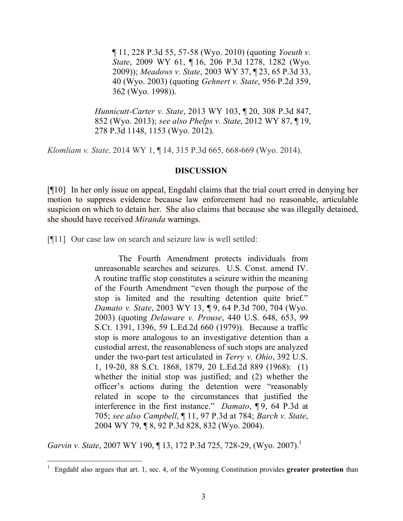¶ 11, 228 P.3d 55, 57-58 (Wyo. 2010) (quoting *Yoeuth v. State*, 2009 WY 61, ¶ 16, 206 P.3d 1278, 1282 (Wyo. 2009)); *Meadows v. State*, 2003 WY 37, ¶ 23, 65 P.3d 33, 40 (Wyo. 2003) (quoting *Gehnert v. State*, 956 P.2d 359, 362 (Wyo. 1998)).

*Hunnicutt-Carter v. State*, 2013 WY 103, ¶ 20, 308 P.3d 847, 852 (Wyo. 2013); *see also Phelps v. State*, 2012 WY 87, ¶ 19, 278 P.3d 1148, 1153 (Wyo. 2012).

*Klomliam v. State,* 2014 WY 1, ¶ 14, 315 P.3d 665, 668-669 (Wyo. 2014).

#### **DISCUSSION**

[¶10] In her only issue on appeal, Engdahl claims that the trial court erred in denying her motion to suppress evidence because law enforcement had no reasonable, articulable suspicion on which to detain her. She also claims that because she was illegally detained, she should have received *Miranda* warnings.

[¶11] Our case law on search and seizure law is well settled:

The Fourth Amendment protects individuals from unreasonable searches and seizures. U.S. Const. amend IV. A routine traffic stop constitutes a seizure within the meaning of the Fourth Amendment "even though the purpose of the stop is limited and the resulting detention quite brief." *Damato v. State*, 2003 WY 13, ¶ 9, 64 P.3d 700, 704 (Wyo. 2003) (quoting *Delaware v. Prouse*, 440 U.S. 648, 653, 99 S.Ct. 1391, 1396, 59 L.Ed.2d 660 (1979)). Because a traffic stop is more analogous to an investigative detention than a custodial arrest, the reasonableness of such stops are analyzed under the two-part test articulated in *Terry v. Ohio*, 392 U.S. 1, 19-20, 88 S.Ct. 1868, 1879, 20 L.Ed.2d 889 (1968): (1) whether the initial stop was justified; and (2) whether the officer's actions during the detention were "reasonably related in scope to the circumstances that justified the interference in the first instance." *Damato*, ¶ 9, 64 P.3d at 705; *see also Campbell*, ¶ 11, 97 P.3d at 784; *Barch v. State*, 2004 WY 79, ¶ 8, 92 P.3d 828, 832 (Wyo. 2004).

*Garvin v. State, 2007 WY 190, 13, 172 P.3d 725, 728-29, (Wyo. 2007).*<sup>1</sup>

 $\overline{a}$ 

<sup>&</sup>lt;sup>1</sup> Engdahl also argues that art. 1, sec. 4, of the Wyoming Constitution provides greater protection than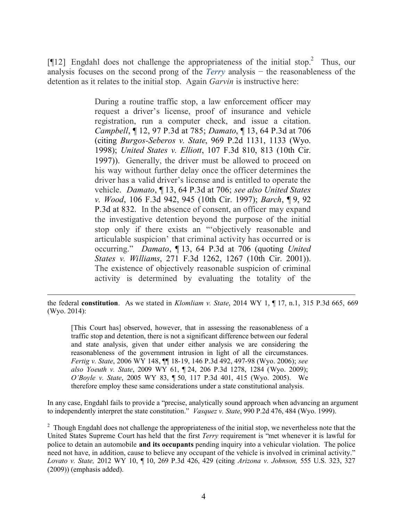[ $[12]$  Engdahl does not challenge the appropriateness of the initial stop.<sup>2</sup> Thus, our analysis focuses on the second prong of the *Terry* analysis − the reasonableness of the detention as it relates to the initial stop. Again *Garvin* is instructive here:

> During a routine traffic stop, a law enforcement officer may request a driver's license, proof of insurance and vehicle registration, run a computer check, and issue a citation. *Campbell*, ¶ 12, 97 P.3d at 785; *Damato*, ¶ 13, 64 P.3d at 706 (citing *Burgos-Seberos v. State*, 969 P.2d 1131, 1133 (Wyo. 1998); *United States v. Elliott*, 107 F.3d 810, 813 (10th Cir. 1997)). Generally, the driver must be allowed to proceed on his way without further delay once the officer determines the driver has a valid driver's license and is entitled to operate the vehicle. *Damato*, ¶ 13, 64 P.3d at 706; *see also United States v. Wood*, 106 F.3d 942, 945 (10th Cir. 1997); *Barch*, ¶ 9, 92 P.3d at 832. In the absence of consent, an officer may expand the investigative detention beyond the purpose of the initial stop only if there exists an "'objectively reasonable and articulable suspicion' that criminal activity has occurred or is occurring." *Damato*, ¶ 13, 64 P.3d at 706 (quoting *United States v. Williams*, 271 F.3d 1262, 1267 (10th Cir. 2001)). The existence of objectively reasonable suspicion of criminal activity is determined by evaluating the totality of the

 the federal **constitution**. As we stated in *Klomliam v. State*, 2014 WY 1, ¶ 17, n.1, 315 P.3d 665, 669 (Wyo. 2014):

[This Court has] observed, however, that in assessing the reasonableness of a traffic stop and detention, there is not a significant difference between our federal and state analysis, given that under either analysis we are considering the reasonableness of the government intrusion in light of all the circumstances. *Fertig v. State*, 2006 WY 148, ¶¶ 18-19, 146 P.3d 492, 497-98 (Wyo. 2006); *see also Yoeuth v. State*, 2009 WY 61, ¶ 24, 206 P.3d 1278, 1284 (Wyo. 2009); *O'Boyle v. State*, 2005 WY 83, ¶ 50, 117 P.3d 401, 415 (Wyo. 2005). We therefore employ these same considerations under a state constitutional analysis.

In any case, Engdahl fails to provide a "precise, analytically sound approach when advancing an argument to independently interpret the state constitution." *Vasquez v. State*, 990 P.2d 476, 484 (Wyo. 1999).

<sup>2</sup> Though Engdahl does not challenge the appropriateness of the initial stop, we nevertheless note that the United States Supreme Court has held that the first *Terry* requirement is "met whenever it is lawful for police to detain an automobile **and its occupants** pending inquiry into a vehicular violation. The police need not have, in addition, cause to believe any occupant of the vehicle is involved in criminal activity." *Lovato v. State,* 2012 WY 10, ¶ 10, 269 P.3d 426, 429 (citing *Arizona v. Johnson,* 555 U.S. 323, 327 (2009)) (emphasis added).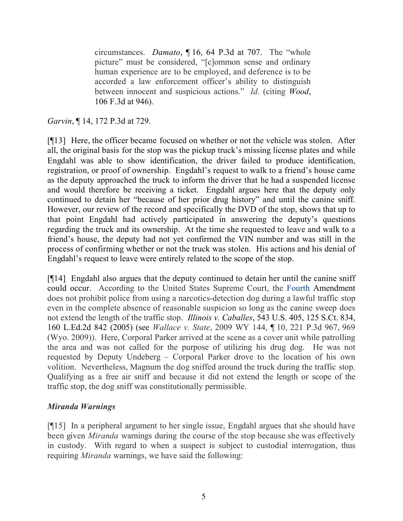circumstances. *Damato*, ¶ 16, 64 P.3d at 707. The "whole picture" must be considered, "[c]ommon sense and ordinary human experience are to be employed, and deference is to be accorded a law enforcement officer's ability to distinguish between innocent and suspicious actions." *Id*. (citing *Wood*, 106 F.3d at 946).

# *Garvin*, ¶ 14, 172 P.3d at 729.

[¶13] Here, the officer became focused on whether or not the vehicle was stolen. After all, the original basis for the stop was the pickup truck's missing license plates and while Engdahl was able to show identification, the driver failed to produce identification, registration, or proof of ownership. Engdahl's request to walk to a friend's house came as the deputy approached the truck to inform the driver that he had a suspended license and would therefore be receiving a ticket. Engdahl argues here that the deputy only continued to detain her "because of her prior drug history" and until the canine sniff. However, our review of the record and specifically the DVD of the stop, shows that up to that point Engdahl had actively participated in answering the deputy's questions regarding the truck and its ownership. At the time she requested to leave and walk to a friend's house, the deputy had not yet confirmed the VIN number and was still in the process of confirming whether or not the truck was stolen. His actions and his denial of Engdahl's request to leave were entirely related to the scope of the stop.

[¶14] Engdahl also argues that the deputy continued to detain her until the canine sniff could occur. According to the United States Supreme Court, the Fourth Amendment does not prohibit police from using a narcotics-detection dog during a lawful traffic stop even in the complete absence of reasonable suspicion so long as the canine sweep does not extend the length of the traffic stop. *Illinois v. Caballes*, 543 U.S. 405, 125 S.Ct. 834, 160 L.Ed.2d 842 (2005) (see *Wallace v. State*, 2009 WY 144, ¶ 10, 221 P.3d 967, 969 (Wyo. 2009)). Here, Corporal Parker arrived at the scene as a cover unit while patrolling the area and was not called for the purpose of utilizing his drug dog. He was not requested by Deputy Undeberg – Corporal Parker drove to the location of his own volition. Nevertheless, Magnum the dog sniffed around the truck during the traffic stop. Qualifying as a free air sniff and because it did not extend the length or scope of the traffic stop, the dog sniff was constitutionally permissible.

# *Miranda Warnings*

[¶15] In a peripheral argument to her single issue, Engdahl argues that she should have been given *Miranda* warnings during the course of the stop because she was effectively in custody. With regard to when a suspect is subject to custodial interrogation, thus requiring *Miranda* warnings, we have said the following: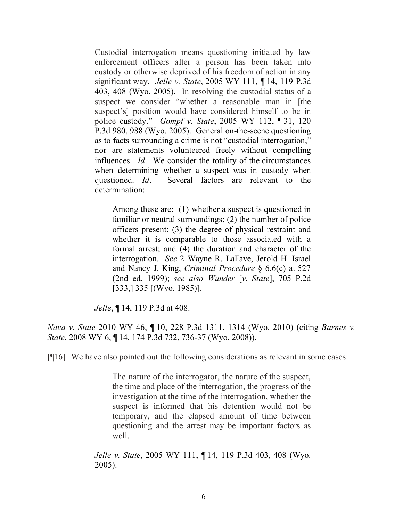Custodial interrogation means questioning initiated by law enforcement officers after a person has been taken into custody or otherwise deprived of his freedom of action in any significant way. *Jelle v. State*, 2005 WY 111, ¶ 14, 119 P.3d 403, 408 (Wyo. 2005). In resolving the custodial status of a suspect we consider "whether a reasonable man in [the suspect's] position would have considered himself to be in police custody." *Gompf v. State*, 2005 WY 112, ¶ 31, 120 P.3d 980, 988 (Wyo. 2005). General on-the-scene questioning as to facts surrounding a crime is not "custodial interrogation," nor are statements volunteered freely without compelling influences. *Id*. We consider the totality of the circumstances when determining whether a suspect was in custody when questioned. *Id*. Several factors are relevant to the determination:

Among these are: (1) whether a suspect is questioned in familiar or neutral surroundings; (2) the number of police officers present; (3) the degree of physical restraint and whether it is comparable to those associated with a formal arrest; and (4) the duration and character of the interrogation. *See* 2 Wayne R. LaFave, Jerold H. Israel and Nancy J. King, *Criminal Procedure* § 6.6(c) at 527 (2nd ed. 1999); *see also Wunder* [*v. State*], 705 P.2d [333,] 335 [(Wyo. 1985)].

*Jelle*, ¶ 14, 119 P.3d at 408.

*Nava v. State* 2010 WY 46, ¶ 10, 228 P.3d 1311, 1314 (Wyo. 2010) (citing *Barnes v. State*, 2008 WY 6, ¶ 14, 174 P.3d 732, 736-37 (Wyo. 2008)).

[¶16] We have also pointed out the following considerations as relevant in some cases:

The nature of the interrogator, the nature of the suspect, the time and place of the interrogation, the progress of the investigation at the time of the interrogation, whether the suspect is informed that his detention would not be temporary, and the elapsed amount of time between questioning and the arrest may be important factors as well.

*Jelle v. State*, 2005 WY 111, ¶ 14, 119 P.3d 403, 408 (Wyo. 2005).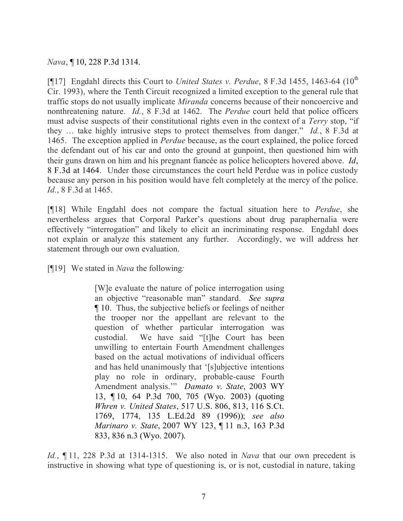*Nava*, ¶ 10, 228 P.3d 1314.

[¶17] Engdahl directs this Court to *United States v. Perdue*, 8 F.3d 1455, 1463-64 (10<sup>th</sup>) Cir. 1993), where the Tenth Circuit recognized a limited exception to the general rule that traffic stops do not usually implicate *Miranda* concerns because of their noncoercive and nonthreatening nature. *Id.*, 8 F.3d at 1462. The *Perdue* court held that police officers must advise suspects of their constitutional rights even in the context of a *Terry* stop, "if they … take highly intrusive steps to protect themselves from danger." *Id.*, 8 F.3d at 1465. The exception applied in *Perdue* because, as the court explained, the police forced the defendant out of his car and onto the ground at gunpoint, then questioned him with their guns drawn on him and his pregnant fiancée as police helicopters hovered above. *Id*, 8 F.3d at 1464. Under those circumstances the court held Perdue was in police custody because any person in his position would have felt completely at the mercy of the police. *Id.*, 8 F.3d at 1465.

[¶18] While Engdahl does not compare the factual situation here to *Perdue*, she nevertheless argues that Corporal Parker's questions about drug paraphernalia were effectively "interrogation" and likely to elicit an incriminating response. Engdahl does not explain or analyze this statement any further. Accordingly, we will address her statement through our own evaluation.

[¶19] We stated in *Nava* the following*:*

[W]e evaluate the nature of police interrogation using an objective "reasonable man" standard. *See supra* ¶ 10. Thus, the subjective beliefs or feelings of neither the trooper nor the appellant are relevant to the question of whether particular interrogation was custodial. We have said "[t]he Court has been unwilling to entertain Fourth Amendment challenges based on the actual motivations of individual officers and has held unanimously that '[s]ubjective intentions play no role in ordinary, probable-cause Fourth Amendment analysis.'" *Damato v. State*, 2003 WY 13, ¶ 10, 64 P.3d 700, 705 (Wyo. 2003) (quoting *Whren v. United States*, 517 U.S. 806, 813, 116 S.Ct. 1769, 1774, 135 L.Ed.2d 89 (1996)); *see also Marinaro v. State*, 2007 WY 123, ¶ 11 n.3, 163 P.3d 833, 836 n.3 (Wyo. 2007).

*Id.*, ¶ 11, 228 P.3d at 1314-1315. We also noted in *Nava* that our own precedent is instructive in showing what type of questioning is, or is not, custodial in nature, taking